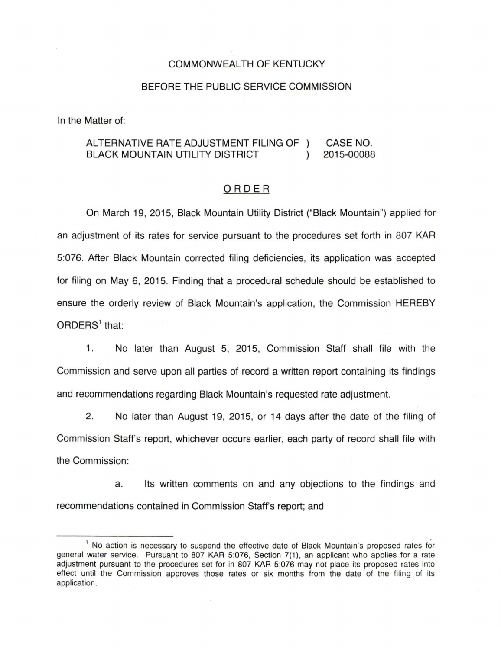## COMMONWEALTH OF KENTUCKY

## BEFORE THE PUBLIC SERVICE COMMISSION

In the Matter of:

## ALTERNATIVE RATE ADJUSTMENT FILING OF CASE NO. BLACK MOUNTAIN UTILITY DISTRICT 2015-00088  $\lambda$

## ORDER

On March 19, 2015, Black Mountain Utility District ("Black Mountain") applied for an adjustment of its rates for service pursuant to the procedures set forth in 807 KAR 5:076. After Black Mountain corrected filing deficiencies, its application was accepted for filing on May 6, 2015. Finding that a procedural schedule should be established to ensure the orderly review of Black Mountain's application, the Commission HEREBY  $ORDERS<sup>1</sup>$  that:

1. No later than August 5, 2015, Commission Staff shall file with the Commission and serve upon all parties of record a written report containing its findings and recommendations regarding Black Mountain's requested rate adjustment.

2. No later than August 19, 2015, or 14 days after the date of the filing of Commission Staff's report, whichever occurs earlier, each party of record shall file with the Commission:

a. Its written comments on and any objections to the findings and recommendations contained in Commission Staff's report; and

 $<sup>1</sup>$  No action is necessary to suspend the effective date of Black Mountain's proposed rates for</sup> general water service. Pursuant to 807 KAR 5:076, Section 7(1), an applicant who applies for a rate adjustment pursuant to the procedures set for in 807 KAR 5:076 may not place its proposed rates into effect until the Commission approves those rates or six months from the date of the filing of its application.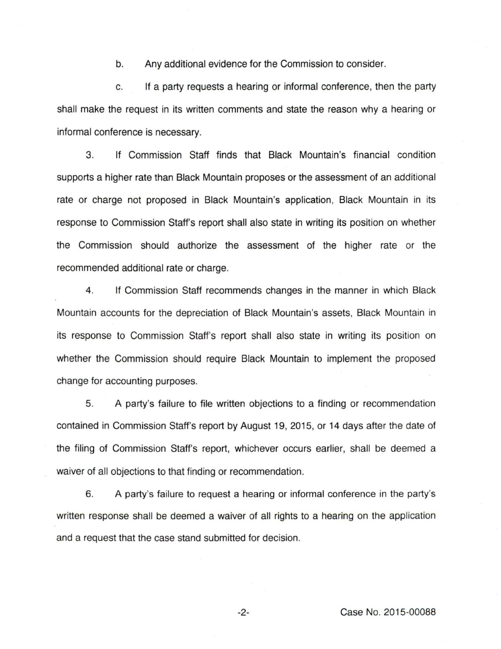b. Any additional evidence for the Commission to consider.

c. If a party requests a hearing or informal conference, then the party shall make the request in its written comments and state the reason why a hearing or informal conference is necessary.

3. If Commission Staff finds that Black Mountain's financial condition supports a higher rate than Black Mountain proposes or the assessment of an additional rate or charge not proposed in Black Mountain's application, Black Mountain in its response to Commission Staff's report shall also state in writing its position on whether the Commission should authorize the assessment of the higher rate or the recommended additional rate or charge.

4. If Commission Staff recommends changes in the manner in which Black Mountain accounts for the depreciation of Black Mountain's assets, Black Mountain in its response to Commission Staff's report shall also state in writing its position on whether the Commission should require Black Mountain to implement the proposed change for accounting purposes.

5. A party's failure to file written objections to a finding or recommendation contained in Commission Staff's report by August 19, 2015, or 14 days after the date of the filing of Commission Staff's report, whichever occurs earlier, shall be deemed a waiver of all objections to that finding or recommendation.

6. A party's failure to request a hearing or informal conference in the party's written response shall be deemed a waiver of all rights to a hearing on the application and a request that the case stand submitted for decision.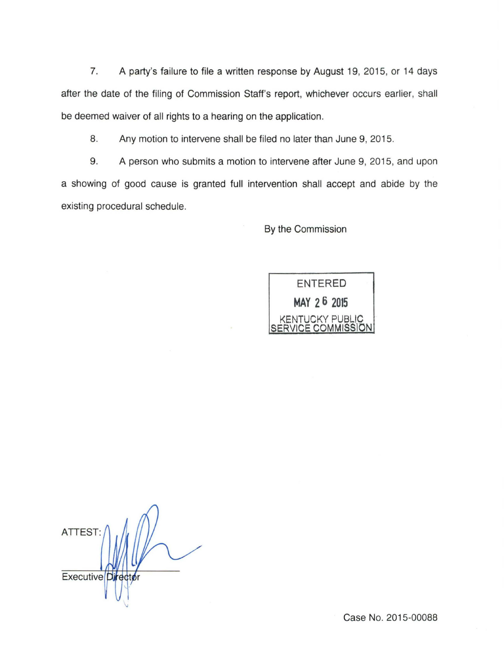7. A party's failure to file a written response by August 19, 2015, or 14 days after the date of the filing of Commission Staff's report, whichever occurs earlier, shall be deemed waiver of all rights to a hearing on the application.

8. Any motion to intervene shall be filed no later than June 9, 2015.

9. A person who submits a motion to intervene after June 9, 2015, and upon a showing of good cause is granted full intervention shall accept and abide by the existing procedural schedule.

By the Commission



**ATTEST** Executive<sup>[D]</sup>